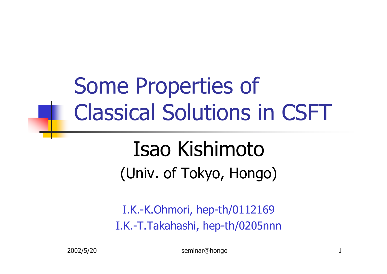Some Properties of Classical Solutions in CSFT

## Isao Kishimoto (Univ. of Tokyo, Hongo)

I.K.-K.Ohmori, hep-th/0112169 I.K.-T.Takahashi, hep-th/0205nnn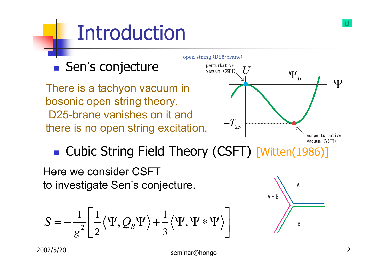# Introduction



**. Cubic String Field Theory (CSFT) [Witten(1986)]** 

Here we consider CSFT to investigate Sen's conjecture.

$$
S=-\frac{1}{g^2}\left[\frac{1}{2}\langle\Psi,Q_{\text{B}}\Psi\rangle+\frac{1}{3}\langle\Psi,\Psi*\Psi\rangle\right]
$$

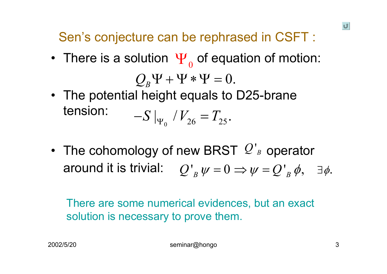Sen's conjecture can be rephrased in CSFT :

- There is a solution  $\Psi_{_{0}}$  of equation of motion:  $\mathcal{Q}_{\scriptscriptstyle{B}}\Psi$  +  $\Psi$   $*$   $\Psi$   $=$   $0.$
- The potential height equals to D25-brane tension:  $_{0}$  '  $^{2}$  26  $25$  $-S|_{\Psi_{0}}/V_{26}=T_{25}.$
- The cohomology of new BRST  $\mathcal{Q}'_B$  operator around it is trivial:  $\left[ Q^{\, \prime}_{\; B} \, \psi = 0 \Rightarrow \psi = Q^{\, \prime}_{\; B} \, \phi, \quad \exists \phi.$

There are some numerical evidences, but an exact solution is necessary to prove them.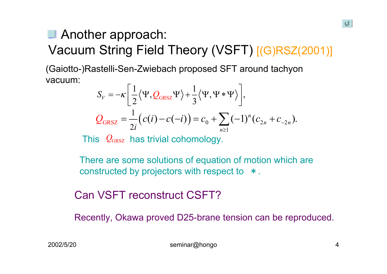### Another approach: Vacuum String Field Theory (VSFT) [(G)RSZ(2001)]

(Gaiotto-)Rastelli-Sen-Zwiebach proposed SFT around tachyon vacuum:

$$
S_V = -\kappa \left[ \frac{1}{2} \langle \Psi, Q_{GRSZ} \Psi \rangle + \frac{1}{3} \langle \Psi, \Psi * \Psi \rangle \right],
$$
  

$$
Q_{GRSZ} = \frac{1}{2i} \left( c(i) - c(-i) \right) = c_0 + \sum_{n \ge 1} (-1)^n (c_{2n} + c_{-2n}).
$$

This  $\mathcal{Q}_{\text{\tiny{GRSZ}}}$  has trivial cohomology.

There are some solutions of equation of motion which are constructed by projectors with respect to \*.

### Can VSFT reconstruct CSFT?

Recently, Okawa proved D25-brane tension can be reproduced.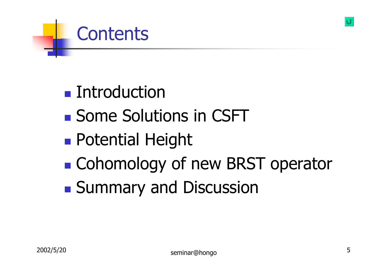### **E** Introduction

**Contents** 

- **. Some Solutions in CSFT**
- **Potential Height**
- !**Example Cohomology of new BRST operator**
- !**Summary and Discussion**

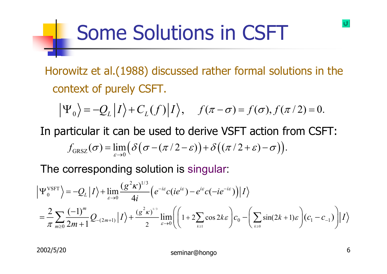### Some Solutions in CSFT

Horowitz et al.(1988) discussed rather formal solutions in the context of purely CSFT.

$$
\Psi_0 = -Q_L |I\rangle + C_L(f)|I\rangle, \quad f(\pi - \sigma) = f(\sigma), f(\pi/2) = 0.
$$

In particular it can be used to derive VSFT action from CSFT:  $f_{\text{GRSZ}} (\sigma) = \lim_{\varepsilon \to 0} \Big( \delta \big( \sigma - (\pi/2 - \varepsilon) \big) + \delta \big( (\pi/2 + \varepsilon) - \sigma \big) \Big).$ 

The corresponding solution is singular:

$$
\Psi_0^{\text{VSFT}}\Big\rangle = -Q_L|I\rangle + \lim_{\varepsilon \to 0} \frac{(g^2 \kappa)^{1/3}}{4i} \Big(e^{-i\varepsilon} c(ie^{i\varepsilon}) - e^{i\varepsilon} c(-ie^{-i\varepsilon})\Big)|I\rangle
$$
  
=  $\frac{2}{\pi} \sum_{m\geq 0} \frac{(-1)^m}{2m+1} Q_{-(2m+1)}|I\rangle + \frac{(g^2 \kappa)^{1/3}}{2} \lim_{\varepsilon \to 0} \Biggl( \Biggl(1 + 2 \sum_{k\geq 1} \cos 2k\varepsilon \Biggr) c_0 - \Biggl( \sum_{k\geq 0} \sin(2k+1)\varepsilon \Biggr) (c_1 - c_{-1}) \Biggr)|I\rangle$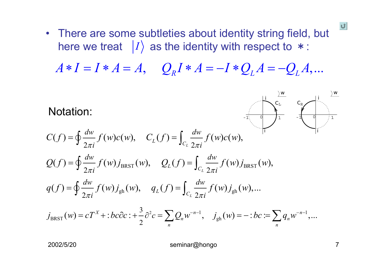• There are some subtleties about identity string field, but here we treat  $|I\rangle$  as the identity with respect to  $*$ :

 $A * I = I * A = A, \quad Q_R I * A = -I * Q_L A = -Q_L A, ...$  $*I = I * A = A$ ,  $Q_R I * A =$  *I* <sup>∗</sup>*Q A*  $=-Q_{L}A$ 

Notation:

$$
C(f) = \oint \frac{dw}{2\pi i} f(w)c(w), \quad C_L(f) = \int_{C_L} \frac{dw}{2\pi i} f(w)c(w),
$$
  
\n
$$
Q(f) = \oint \frac{dw}{2\pi i} f(w) j_{BRT}(w), \quad Q_L(f) = \int_{C_L} \frac{dw}{2\pi i} f(w) j_{BRT}(w),
$$
  
\n
$$
q(f) = \oint \frac{dw}{2\pi i} f(w) j_{gh}(w), \quad q_L(f) = \int_{C_L} \frac{dw}{2\pi i} f(w) j_{gh}(w),...
$$

$$
j_{\text{BRST}}(w) = cT^X + :bc\partial c : + \frac{3}{2}\partial^2 c = \sum_n Q_n w^{-n-1}, \quad j_{gh}(w) = -:bc := \sum_n q_n w^{-n-1},...
$$

2002/5/20 seminar@hongo 7

*w*

 $\vert \mathbf{U} \vert$ 

-1 0 1

*i*

 $C_{\mathbb L}$ 

-1 0 1

*w*

 $\frac{i}{C_{\rm L}}$  *C*<sub>R</sub>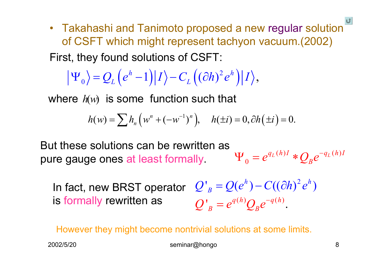$\bullet~$  Takahashi and Tanimoto proposed a new regular solution $\bar{\ }$ of CSFT which might represent tachyon vacuum.(2002) First, they found solutions of CSFT:

$$
\left|\Psi_{0}\right\rangle = Q_{L}\left(e^{h}-1\right)\left|I\right\rangle - C_{L}\left((\partial h)^{2}e^{h}\right)\left|I\right\rangle,
$$

where  $h\!\!\left(w\right)$  is some function such that

$$
h(w) = \sum h_n (w^n + (-w^{-1})^n), \quad h(\pm i) = 0, \partial h(\pm i) = 0.
$$

 $(h)I \bigstar \Omega^{-q_L(h)}$ 0 $q_L(h)I \triangleleft q_L(h)I$  $e^{q_L(n)\tau} * Q_{\scriptscriptstyle B} e$  $\Psi_{\alpha} = e^{q_L(n)I} * O_{\nu}e^{-I}$ But these solutions can be rewritten as pure gauge ones at least formally.

 $Q'_{B} = Q(e^{h}) - C((\partial h)^{2}e^{h})$  $Q'_{B} = e^{q(h)}Q_{B}e^{-q(h)}.$  $=e^{q(n)}Q_{p}e^{-}$ In fact, new BRST operator is formally rewritten as

Howev er they might become nontrivial solutions at some limits.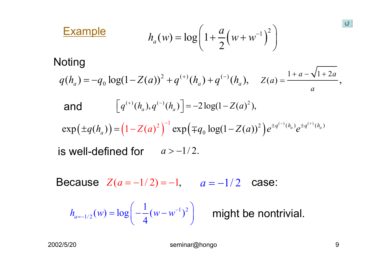$$
h_a(w) = \log \left( 1 + \frac{a}{2} (w + w^{-1})^2 \right)
$$

### **Noting**

**Example** 

$$
q(h_a) = -q_0 \log(1 - Z(a))^2 + q^{(+)}(h_a) + q^{(-)}(h_a), \quad Z(a) = \frac{1 + a - \sqrt{1 + 2a}}{a},
$$

and 
$$
\[q^{(+)}(h_a), q^{(-)}(h_a)\] = -2\log(1 - Z(a)^2),
$$

$$
\exp(\pm q(h_a)) = (1 - Z(a)^2)^{-1} \exp(\mp q_0 \log(1 - Z(a))^2) e^{\pm q^{(-)}(h_a)} e^{\pm q^{(+)}(h_a)}
$$

 $\quad$  is well-defined for  $\quad$   $a$   $>$   $-1/2.$ 

Because  $Z(a=-1/2)$  = − 1, *<sup>a</sup>* = <sup>−</sup>1/ 2 case:

$$
h_{a=-1/2}(w) = \log\left(-\frac{1}{4}(w-w^{-1})^2\right)
$$

might be nontrivial.

U.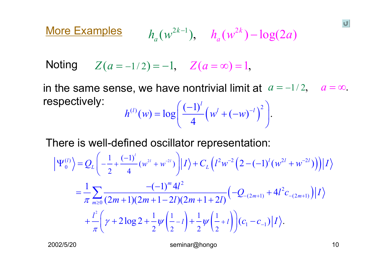$Y( a = -1/2 ) = -1, \quad Z( a = \infty ) = 1,$ 

in the same sense, we have nontrivial limit at  $\ a = -1/2$ 2,  $a = \infty$ .  $\mathcal{L}^{(l)}(w) = \log \left( \frac{(-1)^l}{4} \left( w^l + (-w)^{-l} \right)^2 \right)$  $4 \left( \begin{array}{cc} \cdots & \cdots & \cdots \end{array} \right)$  $h^{(l)}(w) = \log \left( \frac{(-1)^l}{l} (w^l + (-w)^{-l}) \right)$  $=\log\left(\frac{(-1)^l}{4}\left(w^l + (-w)^{-l}\right)^2\right)$ respectively:

There is well-defined oscillator representation:

$$
\left| \Psi_{0}^{(l)} \right\rangle = Q_{L} \left( -\frac{1}{2} + \frac{(-1)^{l}}{4} (w^{2l} + w^{2l}) \right) \left| I \right\rangle + C_{L} \left( l^{2} w^{-2} \left( 2 - (-1)^{l} (w^{2l} + w^{-2l}) \right) \right) \left| I \right\rangle
$$
  
=  $\frac{1}{\pi} \sum_{m \geq 0} \frac{-(-1)^{m} 4l^{2}}{(2m + 1)(2m + 1 - 2l)(2m + 1 + 2l)} \left( -Q_{-(2m+1)} + 4l^{2} c_{-(2m+1)} \right) \left| I \right\rangle$   
+  $\frac{l^{2}}{\pi} \left( \gamma + 2 \log 2 + \frac{1}{2} \psi \left( \frac{1}{2} - l \right) + \frac{1}{2} \psi \left( \frac{1}{2} + l \right) \right) \left( c_{1} - c_{-1} \right) \left| I \right\rangle.$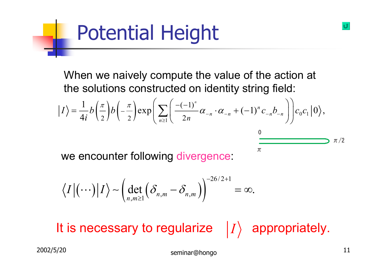# Potential Height

When we naively compute the value of the action at the solutions constructed on identity string field:

$$
|I\rangle = \frac{1}{4i}b\left(\frac{\pi}{2}\right)b\left(-\frac{\pi}{2}\right)\exp\left(\sum_{n\geq 1}\left(\frac{-(-1)^n}{2n}\alpha_{-n}\cdot\alpha_{-n}+(-1)^n c_{-n}b_{-n}\right)\right)c_0c_1|0\rangle,
$$

 $\pi$ 

we encounter following divergence:

$$
\langle I | (\cdots) | I \rangle \sim \left( \det_{n,m \geq 1} \left( \delta_{n,m} - \delta_{n,m} \right) \right)^{-26/2+1} = \infty.
$$

It is necessary to regularize  $|I\rangle$  appropriately.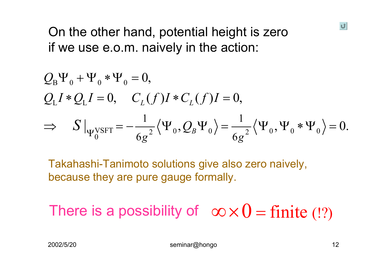### On the other hand, potential height is zero if we use e.o.m. naively in the action:

$$
Q_{B}\Psi_{0} + \Psi_{0} * \Psi_{0} = 0,
$$
  
\n
$$
Q_{L}I * Q_{L}I = 0, \quad C_{L}(f)I * C_{L}(f)I = 0,
$$
  
\n
$$
\Rightarrow S|_{\Psi_{0}^{VSET}} = -\frac{1}{6g^{2}} \langle \Psi_{0}, Q_{B} \Psi_{0} \rangle = \frac{1}{6g^{2}} \langle \Psi_{0}, \Psi_{0} * \Psi_{0} \rangle = 0.
$$

Takahashi-Tanimoto solutions give also zero naively, because they are pure gauge formally.

There is a possibility of  $\;\;\infty \!\times\! 0 = \text{finite}\; (?)$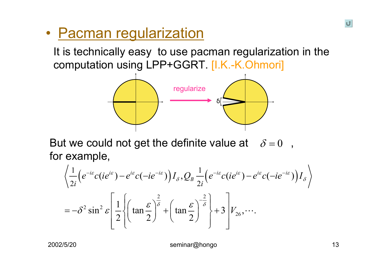#### ï• <u>Pacman regularization</u>

It is technically easy to use pacman regularization in the computation using LPP+GGRT. [I.K.-K.Ohmori]



But we could not get the definite value at  $\delta$  = 0 , for example,

$$
\left\langle \frac{1}{2i} \left( e^{-i\varepsilon} c (ie^{i\varepsilon}) - e^{i\varepsilon} c (-ie^{-i\varepsilon}) \right) I_{\delta}, Q_{\delta} \frac{1}{2i} \left( e^{-i\varepsilon} c (ie^{i\varepsilon}) - e^{i\varepsilon} c (-ie^{-i\varepsilon}) \right) I_{\delta} \right\rangle
$$
  
=  $-\delta^2 \sin^2 \varepsilon \left[ \frac{1}{2} \left\{ \left( \tan \frac{\varepsilon}{2} \right)^{\frac{2}{\delta}} + \left( \tan \frac{\varepsilon}{2} \right)^{-\frac{2}{\delta}} \right\} + 3 \left[ V_{26}, \cdots \right].$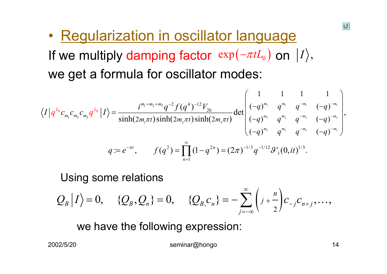ï• Regularization in oscillator language If we multiply damping factor  $\, \exp(-\pi t L_{_0}) \,$  on  $\, |I\rangle,$ we get a formula for oscillator modes:

$$
\langle I | q^{L_0} c_{m_1} c_{m_2} c_{m_3} q^{L_0} | I \rangle = \frac{i^{m_1 + m_2 + m_3} q^{-2} f(q^4)^{-12} V_{26}}{\sinh(2m_1 \pi t) \sinh(2m_2 \pi t) \sinh(2m_3 \pi t)} \det \begin{pmatrix} 1 & 1 & 1 & 1 \\ (-q)^{m_1} & q^{m_1} & q^{-m_1} & (-q)^{-m_1} \\ (-q)^{m_2} & q^{m_2} & q^{-m_2} & (-q)^{-m_2} \\ (-q)^{m_3} & q^{m_3} & q^{-m_3} & (-q)^{-m_3} \end{pmatrix},
$$
  
\n
$$
q := e^{-\pi t}, \qquad f(q^2) = \prod_{n=1}^{\infty} (1 - q^{2n}) = (2\pi)^{-1/3} q^{-1/12} \mathcal{G}'_1(0, it)^{1/3}.
$$

#### Using some relations

 $\sum_{i=-\infty}^{\infty}$   $\left(j+\frac{n}{2}\right)$  $\bigg)$  $\langle Q_B, Q_n \rangle = 0, \quad \{\mathcal{Q}_B, \mathcal{Q}_n\} = 0, \quad \{\mathcal{Q}_{B, C_n}\} = -\sum_{i=1}^n \left[ \frac{1}{j} + \frac{1}{n} \right] c_{i-j} c_{n+j}, \dots,$ *j*  $Q_{B} | I \rangle = 0, \quad \{Q_{B}, Q_{n}\} = 0, \quad \{Q_{B} | c_{n}\} = -\sum_{i} \left( \frac{1}{j} + \frac{n}{i} \right) c_{i} c_{i}$ ∞  $-1$   $n+$ =−∞ $= 0, \hspace{.2in} \{Q_{\scriptscriptstyle B},Q_{\scriptscriptstyle n}\} = 0, \hspace{.2in} \{Q_{\scriptscriptstyle B,}c_{\scriptscriptstyle n}\} = -\sum_{\scriptscriptstyle D}$  $+$   $\left| C \right|$   $\left| C \right|$   $\left| C \right|$   $\left| C \right|$ 

we have the following expression: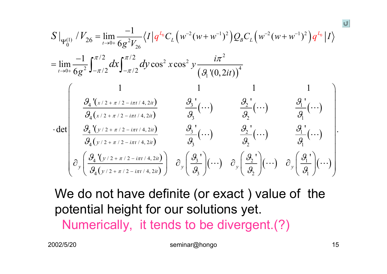$$
S \Big|_{\Psi_{0}^{(1)}} / V_{26} = \lim_{t \to 0+} \frac{-1}{6g^{2}V_{26}} \langle I \Big| q^{L_{0}} C_{L} \Big( w^{-2} (w + w^{-1})^{2} \Big) Q_{B} C_{L} \Big( w^{-2} (w + w^{-1})^{2} \Big) q^{L_{0}} \Big| I \rangle
$$
  
\n
$$
= \lim_{t \to 0+} \frac{-1}{6g^{2}} \int_{-\pi/2}^{\pi/2} dx \int_{-\pi/2}^{\pi/2} dy \cos^{2} x \cos^{2} y \frac{i\pi^{2}}{\Big( \mathcal{G}_{1}^{(0, 2it)} \Big)^{4}}
$$
  
\n
$$
\int_{\mathcal{G}_{4}} \frac{\mathcal{G}_{4}^{(1/2 + \pi/2 - i\pi t/4, 2it)}}{\mathcal{G}_{4}(x/2 + \pi/2 - i\pi t/4, 2it)} \frac{\mathcal{G}_{3}^{(1)}}{\mathcal{G}_{3}} (\cdots) \frac{\mathcal{G}_{2}^{(1)}}{\mathcal{G}_{2}} (\cdots) \frac{\mathcal{G}_{1}^{(1)}}{\mathcal{G}_{1}} (\cdots)
$$
  
\n
$$
\cdot \det \begin{pmatrix} \frac{\mathcal{G}_{4}^{(1/2 + \pi/2 - i\pi t/4, 2it)}}{\mathcal{G}_{4}(y/2 + \pi/2 - i\pi t/4, 2it)} & \frac{\mathcal{G}_{3}^{(1/2 + i\pi/2 - i\pi t/4, 2it)}}{\mathcal{G}_{3}} (\cdots) & \frac{\mathcal{G}_{2}^{(1/2 + i\pi/2 - i\pi t/4, 2it)}}{\mathcal{G}_{2}} (\cdots) & \frac{\mathcal{G}_{1}^{(1/2 + i\pi/2 - i\pi t/4, 2it)}}{\mathcal{G}_{1}} (\cdots) \frac{\mathcal{G}_{2}^{(1/2 + i\pi/2 - i\pi t/4, 2it)}}{\mathcal{G}_{2}} \Big) & \partial_{y} \Big( \frac{\mathcal{G}_{3}^{(1/2 + i\pi/2 - i\pi t/4, 2it)}}{\mathcal{G}_{3}} \Big) (\cdots) \partial_{y} \Big( \frac{\mathcal{G}_{2}^{(1/2 + i\pi/2 - i\pi t/4, 2it)}}{\mathcal{G}_{1}} \Big
$$

We do not have definite (or exact ) value of the potential height for our solutions yet. Numerically, it tends to be divergent.(?)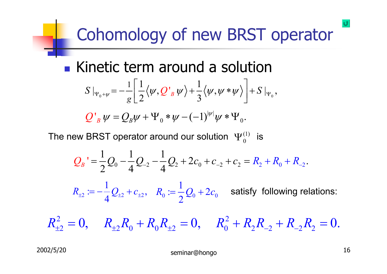# Cohomology of new BRST operator

**1** Kinetic term around a solution  

$$
S|_{\Psi_0+\psi}=-\frac{1}{g}\left[\frac{1}{2}\langle\psi,Q_B^*\psi\rangle+\frac{1}{3}\langle\psi,\psi*\psi\rangle\right]+S|_{\Psi_0},
$$

 $|\psi|$  $0 \times 1$   $9 \times 10$  $Q'_{~B} \, \psi = Q_{\scriptscriptstyle B} \psi + \Psi_{~0} \ast \psi - (-1)^{|\psi|} \psi \ast \Psi_{~0} .$ 

The new BRST operator around our solution  $\Psi_0^{(1)}$  is

$$
Q_B' = \frac{1}{2}Q_0 - \frac{1}{4}Q_{-2} - \frac{1}{4}Q_2 + 2c_0 + c_{-2} + c_2 = R_2 + R_0 + R_{-2}.
$$

2 2 2  $R_{\scriptscriptstyle\pm 2}\coloneqq -\frac{1}{4}\mathcal{Q}_{\scriptscriptstyle\pm 2} + c_{\scriptscriptstyle\pm 2},\;\;\; R_{\scriptscriptstyle 0}\coloneqq \frac{1}{2}\mathcal{Q}_{\scriptscriptstyle 0} + 2c_{\scriptscriptstyle 0} \;\;\;$  satisfy following relations:

 $2 \cap D \cap D$   $2 \cap D$  $R_{\pm 2}^2 = 0, \hspace{5mm} R_{\pm 2} R_0^{} + R_0 R_{\pm 2}^{} = 0, \hspace{5mm} R_0^2 + R_2 R_{-2}^{} + R_{-2} R_2^{} = 0.$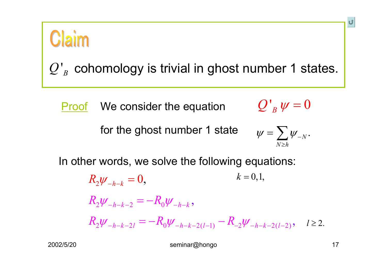

 $Q^r_{\ B}$  cohomology is trivial in ghost number 1 states.

Proof We consider the equation  $\mathcal{U'}_B \psi =$ 

for the ghost number 1 state

$$
\psi = \sum_{N \ge h} \psi_{-N}.
$$

 $Q'{}_{B}\,\psi=0$ 

In other words, we solve the following equations:

 $k = 0, 1,$  $R_2\psi_{-h-k}=0,$  $R_2 \psi _{-h-k-2}^{}=-R_0 \psi _{-h-k}^{},$  $R_2 \psi_{-h-k-2l} = -R_0 \psi_{-h-k-2(l-1)} - R_{-2} \psi_{-h-k-2(l-2)}, \quad l \ge 2.$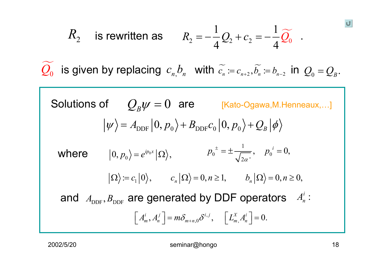$$
R_2
$$
 is rewritten as  $R_2 = -\frac{1}{4}Q_2 + c_2 = -\frac{1}{4}\widetilde{Q}_0$ .

 $\mathcal{Q}_0$ ''is given by replacing  $\,c_{_{n}}\!,\!b_{_{n}}\,$  with  $\,\widetilde{c_{_{n}}}\coloneqq c_{_{n+2}},\widetilde{b_{_{n}}}\coloneqq b_{_{n-2}}\,$  in  $\,\mathcal{Q}_{_{0}}\!=\!\mathcal{Q}_{_{B}}.$ 

 $\mathcal{Q}_{\scriptscriptstyle B} \psi = 0$ Solutions of  $\quad O_{\scriptscriptstyle B} \psi = 0 \,\,\,$  are  $\qquad$  [Kato-Ogawa,M.Henneaux,...]  $\ket{\psi} = A_{\text{DDF}} \ket{0,p_{0}} + B_{\text{DDF}} c_{0} \ket{0,p_{0}} + Q_{B} \ket{\phi}$  $\langle D, p_0 \rangle = e^{ip_0 x} |\Omega \rangle,$   $p_0^- = \pm \frac{1}{\sqrt{2\alpha}}, \quad p_0^ \langle \Omega \rangle := c_1 | 0 \rangle, \qquad c_n | \Omega \rangle = 0, n \ge 1, \qquad b_n | \Omega \rangle = 0, n \ge 0,$ 1 2 $\alpha$  '  $p_0^{\dagger} = \pm \frac{1}{\sqrt{p_0^{\dagger}}}$ ,  $p_0^{\dagger} = 0$ , αwhere  $|0, p_0\rangle = e^{ip_0x}|\Omega\rangle$ ,  $p_0^{\pm} = \pm \frac{1}{\sqrt{2}}, \quad p_0^{\pm} = \pm \frac{1}{\sqrt{2}}$  $\left[ A^i_m, A^j_n \right] = m \delta_{m+n,0} \delta^{i,j}, \quad \left[ L^X_{m, A^i_n} \right] = 0.$  $\left[\,A_{m}^{i},A_{n}^{j}\,\right]=m\delta_{m+n,0}\delta^{i,j},\hspace{0.5cm}\left[\,L_{m}^{X}A_{n}^{i}\,\right]=$ and  $A_{\text{DDF}}, B_{\text{DDF}}$  are generated by DDF operators  $A_n^i$  :

&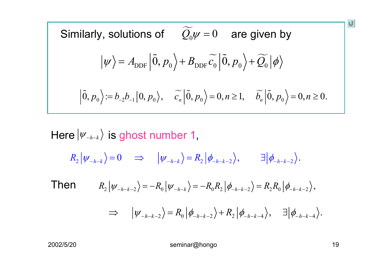Similarly, solutions of 
$$
\widetilde{Q}_0 \psi = 0
$$
 are given by  
\n
$$
|\psi\rangle = A_{\text{DDF}} |\widetilde{0}, p_0\rangle + B_{\text{DDF}} \widetilde{c_0} |\widetilde{0}, p_0\rangle + \widetilde{Q_0} |\phi\rangle
$$
\n
$$
|\widetilde{0}, p_0\rangle = b_{-2}b_{-1}|0, p_0\rangle, \quad \widetilde{c_n} |\widetilde{0}, p_0\rangle = 0, n \ge 1, \quad \widetilde{b_n} |\widetilde{0}, p_0\rangle = 0, n \ge 0.
$$

### Here  $\left|\mathit{\Psi}_{\mathit{-h-k}}\right\rangle$  is ghost number 1,  $R_2 |\psi_{-h-k}\rangle = 0 \Rightarrow |\psi_{-h-k}\rangle = R_2 |\phi_{-h-k-2}\rangle, \qquad \exists |\phi_{-h-k-2}\rangle.$ Then $R_2 |\psi_{-h-k-2}\rangle = -R_0 |\psi_{-h-k}\rangle = -R_0 R_2 |\phi_{-h-k-2}\rangle = R_2 R_0 |\phi_{-h-k-2}\rangle,$  $\Rightarrow$   $|\psi_{-h-k-2}\rangle = R_0 |\phi_{-h-k-2}\rangle + R_2 |\phi_{-h-k-4}\rangle, \quad \exists |\phi_{-h-k-4}\rangle.$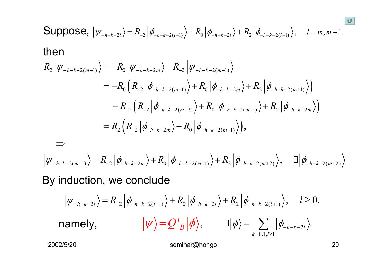Suppose, 
$$
|\psi_{-h-k-2l}\rangle = R_{-2} |\phi_{-h-k-2(l-1)}\rangle + R_0 |\phi_{-h-k-2l}\rangle + R_2 |\phi_{-h-k-2(l+1)}\rangle
$$
,  $l = m, m-1$   
\nthen  
\n
$$
R_2 |\psi_{-h-k-2(m+1)}\rangle = -R_0 |\psi_{-h-k-2m}\rangle - R_{-2} |\psi_{-h-k-2(m-1)}\rangle
$$
\n
$$
= -R_0 (R_{-2} |\phi_{-h-k-2(m-1)}\rangle + R_0 |\phi_{-h-k-2m}\rangle + R_2 |\phi_{-h-k-2(m+1)}\rangle)
$$
\n
$$
- R_{-2} (R_{-2} |\phi_{-h-k-2(m-2)}\rangle + R_0 |\phi_{-h-k-2(m-1)}\rangle + R_2 |\phi_{-h-k-2m}\rangle)
$$
\n
$$
= R_2 (R_{-2} |\phi_{-h-k-2m}\rangle + R_0 |\phi_{-h-k-2(m+1)}\rangle),
$$
\n
$$
\Rightarrow
$$
\n
$$
|\psi_{-h-k-2(m+1)}\rangle = R_{-2} |\phi_{-h-k-2m}\rangle + R_0 |\phi_{-h-k-2(m+1)}\rangle + R_2 |\phi_{-h-k-2(m+2)}\rangle, \exists |\phi_{-h-k-2(m+2)}\rangle
$$
\nBy induction, we conclude  
\n
$$
|\psi_{-h-k-2l}\rangle = R_{-2} |\phi_{-h-k-2(l-1)}\rangle + R_0 |\phi_{-h-k-2l}\rangle + R_2 |\phi_{-h-k-2(l+1)}\rangle, \quad l \ge 0,
$$
\nnamely,  $|\psi\rangle = Q'_{B} |\phi\rangle, \quad \exists |\phi\rangle = \sum_{k=0,1/2l} |\phi_{-h-k-2l}\rangle.$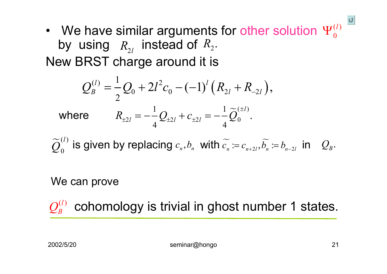• We have similar arguments for other solution  $\Psi^{(l)}_0$ by using  $\,R_{\scriptscriptstyle\gamma_I}\,$  instead of  $R_{\scriptscriptstyle 2}$ New BRST charge around it is  $\pmb{0}$  $\Psi^{(l)}_{\alpha}$  $R_{\rm_{2l}}$  instead of  $R_{\rm_{2}}.$ 

$$
Q_B^{(l)} = \frac{1}{2}Q_0 + 2l^2c_0 - (-1)^l(R_{2l} + R_{-2l}),
$$
  
where 
$$
R_{\pm 2l} = -\frac{1}{4}Q_{\pm 2l} + c_{\pm 2l} = -\frac{1}{4}\tilde{Q}_0^{(\pm l)}.
$$

 $\approx$ (l) 0 $\widetilde{\mathcal{Q}}^{(l)}_{0}$  is given by replacing  $c_{\scriptscriptstyle n}, b_{\scriptscriptstyle n}$  with  $\widetilde{c_{\scriptscriptstyle n}}$ 'is given by replacing  $c_{\scriptscriptstyle n}, b_{\scriptscriptstyle n}$  with  $c_{\scriptscriptstyle n} \coloneqq c_{\scriptscriptstyle n+2l}, b_{\scriptscriptstyle n} \coloneqq b_{\scriptscriptstyle n-2l}$  in  $\quad_{{\hspace{-.1em}L\hspace{-1.1em}B}}$ 

#### We can prove

cohomology is trivial in ghost number 1 states.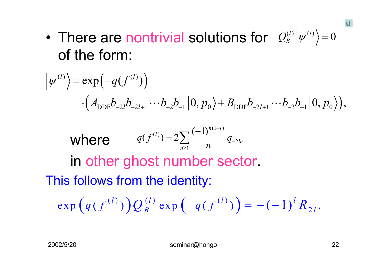0 • There are nontrivial solutions for  $\mathcal{Q}_{B}^{(l)}|\psi^{(l)}\rangle=0$ of the form:

$$
\left|\psi^{(l)}\right\rangle = \exp\left(-q(f^{(l)})\right)
$$

$$
\left(A_{\text{DDF}}b_{-2l}b_{-2l+1}\cdots b_{-2}b_{-1}\right|0, p_{0}\rangle + B_{\text{DDF}}b_{-2l+1}\cdots b_{-2}b_{-1}\left|0, p_{0}\right\rangle\right),
$$
  
\nwhere  $q(f^{(l)}) = 2\sum_{n\geq 1} \frac{(-1)^{n(1+l)}}{n} q_{-2ln}$   
\nin other ghost number sector.  
\nThis follows from the identity:  
\n
$$
\exp\left(q(f^{(l)})\right)Q_{B}^{(l)}\exp\left(-q(f^{(l)})\right) = -(-1)^{l} R_{2l}.
$$

U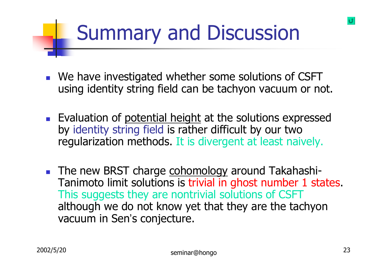# Summary and Discussion

- **I** We have investigated whether some solutions of CSFT using identity string field can be tachyon vacuum or not.
- **Evaluation of potential height at the solutions expressed** by identity string field is rather difficult by our two regularization methods. It is divergent at least naively.
- **The new BRST charge cohomology around Takahashi-**Tanimoto limit solutions is trivial in ghost number 1 states. This suggests they are nontrivial solutions of CSFT although we do not know yet that they are the tachyon vacuum in Sen's conjecture.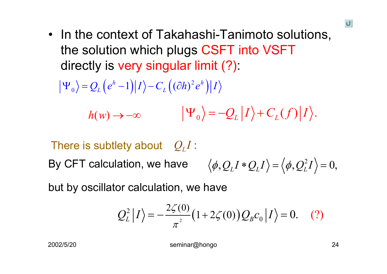• In the context of Takahashi-Tanimoto solutions, the solution which plugs CSFT into VSFT directly is very singular limit (?):

$$
\left|\Psi_{0}\right\rangle = Q_{L}\left(e^{h}-1\right)\left|I\right\rangle - C_{L}\left((\partial h)^{2}e^{h}\right)\left|I\right\rangle
$$

$$
h(w) \to -\infty \qquad |\Psi_0\rangle = -Q_L |I\rangle + C_L(f)|I\rangle.
$$

There is subtlety about  $Q_{I}I$ : By CFT calculation, we have  $\langle \phi, Q_I I * Q_I I \rangle \!=\! \langle \phi, Q_I^2 \rangle$  $\langle \phi, Q_L I * Q_L I \rangle = \langle \phi, Q_L^2 I \rangle = 0,$ 

but by oscillator calculation, we have

$$
Q_L^2 |I\rangle = -\frac{2\zeta(0)}{\pi^2} (1 + 2\zeta(0)) Q_B c_0 |I\rangle = 0. \quad (?)
$$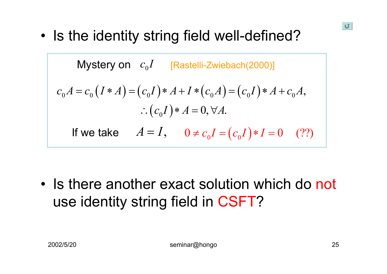0 • Is the identity string field well-defined?

Mystery on 
$$
c_0I
$$
 [Rastelli-Zwiebach(2000)]

\n
$$
c_0A = c_0(I*A) = (c_0I)*A + I*(c_0A) = (c_0I)*A + c_0A,
$$
\n
$$
\therefore (c_0I)*A = 0, \forall A.
$$
\nIf we take  $A = I$ ,  $0 \neq c_0I = (c_0I)*I = 0$  (??)

• Is there another exact solution which do not use identity string field in CSFT?

U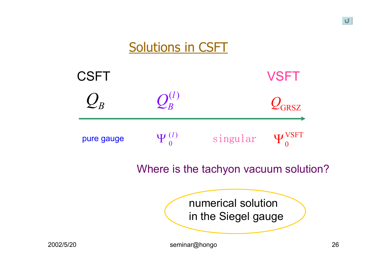

U.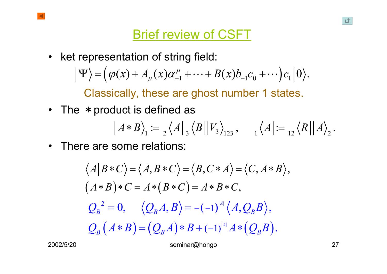• ket representation of string field:  $\Psi$  =  $(\varphi(x) + A_{\mu}(x)\alpha^{\mu}_{-1} + \cdots + B(x)b_{-1}c_0 + \cdots)c_1|0\rangle.$ 

Classically, these are ghost number 1 states.

• The  $\,$   $\ast$  product is defined as

$$
|A*B\rangle_1 := {}_{2}\langle A|_3 \langle B||V_3\rangle_{123}, \quad \langle A| := {}_{12}\langle R||A\rangle_{2}.
$$

 $\bullet$ There are some relations:

$$
\langle A|B*C \rangle = \langle A, B*C \rangle = \langle B, C*A \rangle = \langle C, A*B \rangle,
$$
  
\n
$$
(A*B)*C = A*(B*C) = A*B*C,
$$
  
\n
$$
Q_B^2 = 0, \quad \langle Q_B A, B \rangle = -(-1)^{|A|} \langle A, Q_B B \rangle,
$$
  
\n
$$
Q_B (A*B) = (Q_B A)*B + (-1)^{|A|} A * (Q_B B).
$$

2002/5/20 seminar@hongo 27

U